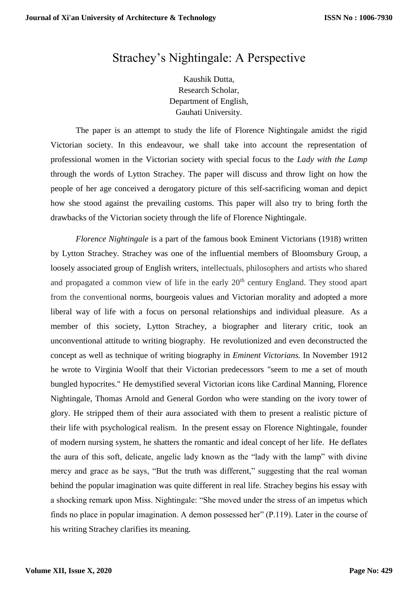## Strachey's Nightingale: A Perspective

Kaushik Dutta, Research Scholar, Department of English, Gauhati University.

The paper is an attempt to study the life of Florence Nightingale amidst the rigid Victorian society. In this endeavour, we shall take into account the representation of professional women in the Victorian society with special focus to the *Lady with the Lamp* through the words of Lytton Strachey. The paper will discuss and throw light on how the people of her age conceived a derogatory picture of this self-sacrificing woman and depict how she stood against the prevailing customs. This paper will also try to bring forth the drawbacks of the Victorian society through the life of Florence Nightingale.

*Florence Nightingale* is a part of the famous book Eminent Victorians (1918) written by Lytton Strachey. Strachey was one of the influential members of Bloomsbury Group, a loosely associated group of English writers, intellectuals, philosophers and artists who shared and propagated a common view of life in the early 20<sup>th</sup> century England. They stood apart from the conventional norms, bourgeois values and Victorian morality and adopted a more liberal way of life with a focus on personal relationships and individual pleasure. As a member of this society, Lytton Strachey, a biographer and literary critic, took an unconventional attitude to writing biography. He revolutionized and even deconstructed the concept as well as technique of writing biography in *Eminent Victorians.* In November 1912 he wrote to Virginia Woolf that their Victorian predecessors "seem to me a set of mouth bungled hypocrites." He demystified several Victorian icons like Cardinal Manning, Florence Nightingale, Thomas Arnold and General Gordon who were standing on the ivory tower of glory. He stripped them of their aura associated with them to present a realistic picture of their life with psychological realism. In the present essay on Florence Nightingale, founder of modern nursing system, he shatters the romantic and ideal concept of her life. He deflates the aura of this soft, delicate, angelic lady known as the "lady with the lamp" with divine mercy and grace as he says, "But the truth was different," suggesting that the real woman behind the popular imagination was quite different in real life. Strachey begins his essay with a shocking remark upon Miss. Nightingale: "She moved under the stress of an impetus which finds no place in popular imagination. A demon possessed her" (P.119). Later in the course of his writing Strachey clarifies its meaning.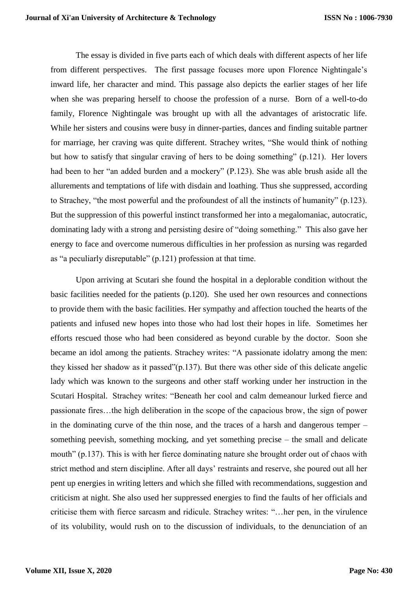The essay is divided in five parts each of which deals with different aspects of her life from different perspectives. The first passage focuses more upon Florence Nightingale's inward life, her character and mind. This passage also depicts the earlier stages of her life when she was preparing herself to choose the profession of a nurse. Born of a well-to-do family, Florence Nightingale was brought up with all the advantages of aristocratic life. While her sisters and cousins were busy in dinner-parties, dances and finding suitable partner for marriage, her craving was quite different. Strachey writes, "She would think of nothing but how to satisfy that singular craving of hers to be doing something" (p.121). Her lovers had been to her "an added burden and a mockery" (P.123). She was able brush aside all the allurements and temptations of life with disdain and loathing. Thus she suppressed, according to Strachey, "the most powerful and the profoundest of all the instincts of humanity" (p.123). But the suppression of this powerful instinct transformed her into a megalomaniac, autocratic, dominating lady with a strong and persisting desire of "doing something." This also gave her energy to face and overcome numerous difficulties in her profession as nursing was regarded as "a peculiarly disreputable" (p.121) profession at that time.

Upon arriving at Scutari she found the hospital in a deplorable condition without the basic facilities needed for the patients (p.120). She used her own resources and connections to provide them with the basic facilities. Her sympathy and affection touched the hearts of the patients and infused new hopes into those who had lost their hopes in life. Sometimes her efforts rescued those who had been considered as beyond curable by the doctor. Soon she became an idol among the patients. Strachey writes: "A passionate idolatry among the men: they kissed her shadow as it passed"(p.137). But there was other side of this delicate angelic lady which was known to the surgeons and other staff working under her instruction in the Scutari Hospital. Strachey writes: "Beneath her cool and calm demeanour lurked fierce and passionate fires…the high deliberation in the scope of the capacious brow, the sign of power in the dominating curve of the thin nose, and the traces of a harsh and dangerous temper – something peevish, something mocking, and yet something precise – the small and delicate mouth" (p.137). This is with her fierce dominating nature she brought order out of chaos with strict method and stern discipline. After all days' restraints and reserve, she poured out all her pent up energies in writing letters and which she filled with recommendations, suggestion and criticism at night. She also used her suppressed energies to find the faults of her officials and criticise them with fierce sarcasm and ridicule. Strachey writes: "…her pen, in the virulence of its volubility, would rush on to the discussion of individuals, to the denunciation of an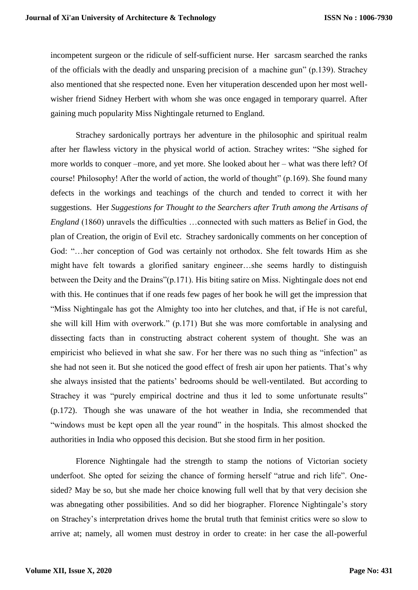incompetent surgeon or the ridicule of self-sufficient nurse. Her sarcasm searched the ranks of the officials with the deadly and unsparing precision of a machine gun" (p.139). Strachey also mentioned that she respected none. Even her vituperation descended upon her most wellwisher friend Sidney Herbert with whom she was once engaged in temporary quarrel. After gaining much popularity Miss Nightingale returned to England.

Strachey sardonically portrays her adventure in the philosophic and spiritual realm after her flawless victory in the physical world of action. Strachey writes: "She sighed for more worlds to conquer –more, and yet more. She looked about her – what was there left? Of course! Philosophy! After the world of action, the world of thought" (p.169). She found many defects in the workings and teachings of the church and tended to correct it with her suggestions. Her *Suggestions for Thought to the Searchers after Truth among the Artisans of England* (1860) unravels the difficulties ...connected with such matters as Belief in God, the plan of Creation, the origin of Evil etc. Strachey sardonically comments on her conception of God: "…her conception of God was certainly not orthodox. She felt towards Him as she might have felt towards a glorified sanitary engineer…she seems hardly to distinguish between the Deity and the Drains"(p.171). His biting satire on Miss. Nightingale does not end with this. He continues that if one reads few pages of her book he will get the impression that "Miss Nightingale has got the Almighty too into her clutches, and that, if He is not careful, she will kill Him with overwork." (p.171) But she was more comfortable in analysing and dissecting facts than in constructing abstract coherent system of thought. She was an empiricist who believed in what she saw. For her there was no such thing as "infection" as she had not seen it. But she noticed the good effect of fresh air upon her patients. That's why she always insisted that the patients' bedrooms should be well-ventilated. But according to Strachey it was "purely empirical doctrine and thus it led to some unfortunate results" (p.172). Though she was unaware of the hot weather in India, she recommended that "windows must be kept open all the year round" in the hospitals. This almost shocked the authorities in India who opposed this decision. But she stood firm in her position.

Florence Nightingale had the strength to stamp the notions of Victorian society underfoot. She opted for seizing the chance of forming herself "atrue and rich life". Onesided? May be so, but she made her choice knowing full well that by that very decision she was abnegating other possibilities. And so did her biographer. Florence Nightingale's story on Strachey's interpretation drives home the brutal truth that feminist critics were so slow to arrive at; namely, all women must destroy in order to create: in her case the all-powerful